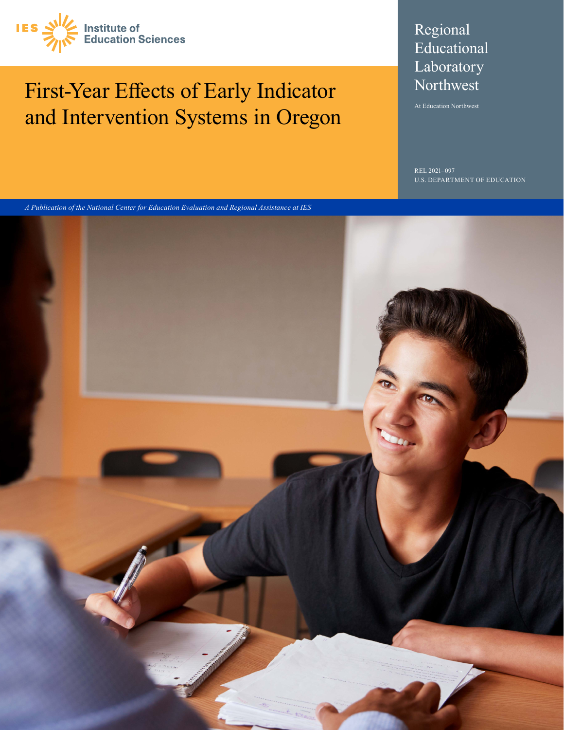

# First-Year Effects of Early Indicator and Intervention Systems in Oregon

## Regional Educational Laboratory Northwest

At Education Northwest

 $-097$ U.S. DEPARTMENT OF EDUCATION

*A Publication of the National Center for Education Evaluation and Regional Assistance at IES*

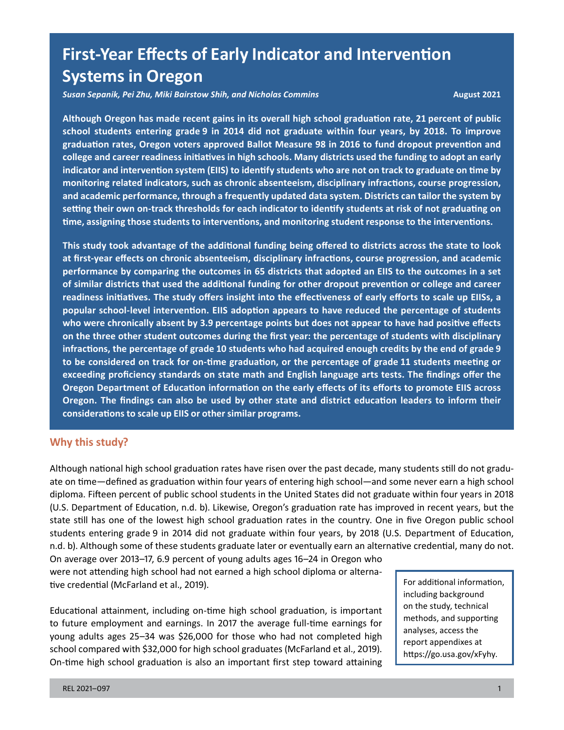## **Systems in Oregon First-Year Effects of Early Indicator and Intervention**

*Susan Sepanik, Pei Zhu, Miki Bairstow Shih, and Nicholas Commins* **August 2021** 

 **school students entering grade 9 in 2014 did not graduate within four years, by 2018. To improve monitoring related indicators, such as chronic absenteeism, disciplinary infractions, course progression, time, assigning those students to interventions, and monitoring student response to the interventions. Although Oregon has made recent gains in its overall high school graduation rate, 21 percent of public graduation rates, Oregon voters approved Ballot Measure 98 in 2016 to fund dropout prevention and college and career readiness initiatives in high schools. Many districts used the funding to adopt an early indicator and intervention system (EIIS) to identify students who are not on track to graduate on time by and academic performance, through a frequently updated data system. Districts can tailor the system by setting their own on-track thresholds for each indicator to identify students at risk of not graduating on** 

 **performance by comparing the outcomes in 65 districts that adopted an EIIS to the outcomes in a set of similar districts that used the additional funding for other dropout prevention or college and career popular school-level intervention. EIIS adoption appears to have reduced the percentage of students who were chronically absent by 3.9 percentage points but does not appear to have had positive effects on the three other student outcomes during the first year: the percentage of students with disciplinary to be considered on track for on-time graduation, or the percentage of grade 11 students meeting or exceeding proficiency standards on state math and English language arts tests. The findings offer the Oregon Department of Education information on the early effects of its efforts to promote EIIS across Oregon. The findings can also be used by other state and district education leaders to inform their considerations to scale up EIIS or other similar programs. This study took advantage of the additional funding being offered to districts across the state to look at first-year effects on chronic absenteeism, disciplinary infractions, course progression, and academic readiness initiatives. The study offers insight into the effectiveness of early efforts to scale up EIISs, a infractions, the percentage of grade 10 students who had acquired enough credits by the end of grade 9** 

#### **Why this study?**

 ate on time—defined as graduation within four years of entering high school—and some never earn a high school Although national high school graduation rates have risen over the past decade, many students still do not gradudiploma. Fifteen percent of public school students in the United States did not graduate within four years in 2018 (U.S. Department of Education, n.d. b). Likewise, Oregon's graduation rate has improved in recent years, but the state still has one of the lowest high school graduation rates in the country. One in five Oregon public school students entering grade 9 in 2014 did not graduate within four years, by 2018 (U.S. Department of Education, n.d. b). Although some of these students graduate later or eventually earn an alternative credential, many do not. On average over 2013–17, 6.9 percent of young adults ages 16–24 in Oregon who

were not attending high school had not earned a high school diploma or alternative credential (McFarland et al., 2019).

 Educational attainment, including on-time high school graduation, is important to future employment and earnings. In 2017 the average full-time earnings for young adults ages 25–34 was \$26,000 for those who had not completed high school compared with \$32,000 for high school graduates (McFarland et al., 2019). On-time high school graduation is also an important first step toward attaining

For additional information, including background on the study, technical methods, and supporting analyses, access the report appendixes at [https://go.usa.gov/xFyhy.](https://go.usa.gov/xFyhy)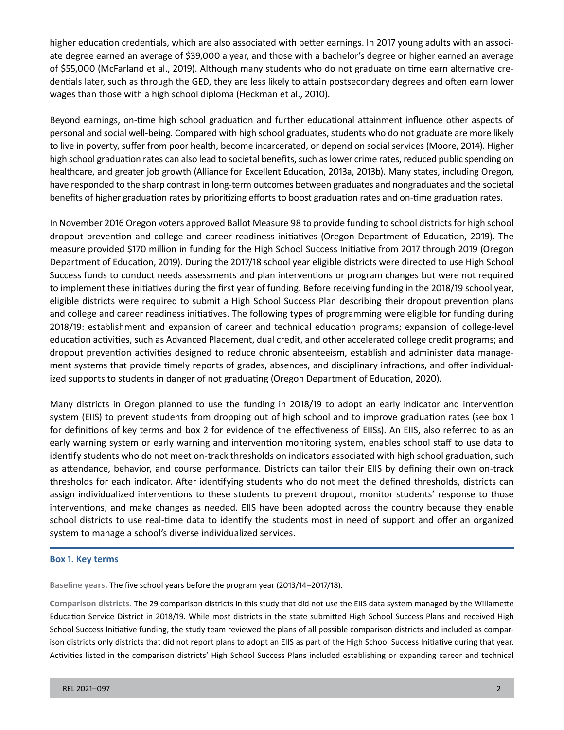higher education credentials, which are also associated with better earnings. In 2017 young adults with an associ- of \$55,000 (McFarland et al., 2019). Although many students who do not graduate on time earn alternative create degree earned an average of \$39,000 a year, and those with a bachelor's degree or higher earned an average dentials later, such as through the GED, they are less likely to attain postsecondary degrees and often earn lower wages than those with a high school diploma (Heckman et al., 2010).

 Beyond earnings, on-time high school graduation and further educational attainment influence other aspects of to live in poverty, suffer from poor health, become incarcerated, or depend on social services (Moore, 2014). Higher high school graduation rates can also lead to societal benefits, such as lower crime rates, reduced public spending on healthcare, and greater job growth (Alliance for Excellent Education, 2013a, 2013b). Many states, including Oregon, have responded to the sharp contrast in long-term outcomes between graduates and nongraduates and the societal personal and social well-being. Compared with high school graduates, students who do not graduate are more likely benefits of higher graduation rates by prioritizing efforts to boost graduation rates and on-time graduation rates.

In November 2016 Oregon voters approved Ballot Measure 98 to provide funding to school districts for high school dropout prevention and college and career readiness initiatives (Oregon Department of Education, 2019). The measure provided \$170 million in funding for the High School Success Initiative from 2017 through 2019 (Oregon Department of Education, 2019). During the 2017/18 school year eligible districts were directed to use High School Success funds to conduct needs assessments and plan interventions or program changes but were not required to implement these initiatives during the first year of funding. Before receiving funding in the 2018/19 school year, eligible districts were required to submit a High School Success Plan describing their dropout prevention plans and college and career readiness initiatives. The following types of programming were eligible for funding during 2018/19: establishment and expansion of career and technical education programs; expansion of college-level education activities, such as Advanced Placement, dual credit, and other accelerated college credit programs; and dropout prevention activities designed to reduce chronic absenteeism, establish and administer data management systems that provide timely reports of grades, absences, and disciplinary infractions, and offer individualized supports to students in danger of not graduating (Oregon Department of Education, 2020).

Many districts in Oregon planned to use the funding in 2018/19 to adopt an early indicator and intervention system (EIIS) to prevent students from dropping out of high school and to improve graduation rates (see box 1 for definitions of key terms and box 2 for evidence of the effectiveness of EIISs). An EIIS, also referred to as an early warning system or early warning and intervention monitoring system, enables school staff to use data to identify students who do not meet on-track thresholds on indicators associated with high school graduation, such as attendance, behavior, and course performance. Districts can tailor their EIIS by defining their own on-track thresholds for each indicator. After identifying students who do not meet the defined thresholds, districts can assign individualized interventions to these students to prevent dropout, monitor students' response to those interventions, and make changes as needed. EIIS have been adopted across the country because they enable school districts to use real-time data to identify the students most in need of support and offer an organized system to manage a school's diverse individualized services.

#### **Box 1. Key terms**

**Baseline years.** The five school years before the program year (2013/14–2017/18).

 Activities listed in the comparison districts' High School Success Plans included establishing or expanding career and technical **Comparison districts.** The 29 comparison districts in this study that did not use the EIIS data system managed by the Willamette Education Service District in 2018/19. While most districts in the state submitted High School Success Plans and received High School Success Initiative funding, the study team reviewed the plans of all possible comparison districts and included as comparison districts only districts that did not report plans to adopt an EIIS as part of the High School Success Initiative during that year.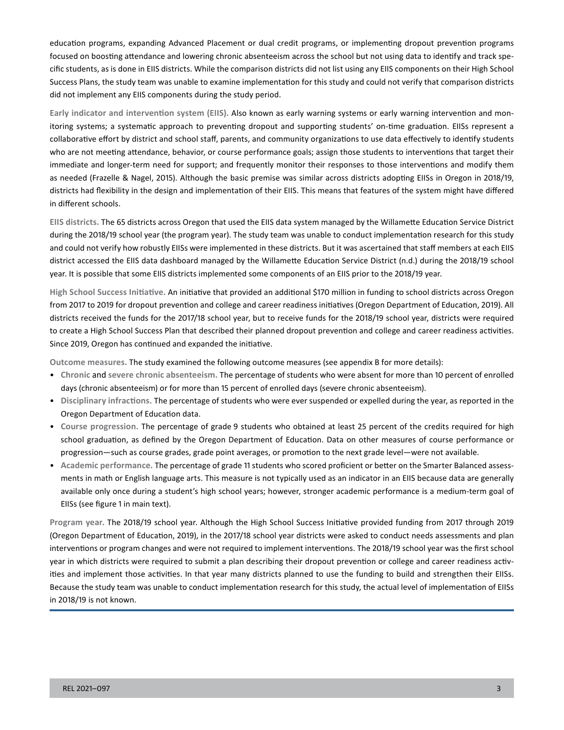education programs, expanding Advanced Placement or dual credit programs, or implementing dropout prevention programs focused on boosting attendance and lowering chronic absenteeism across the school but not using data to identify and track specific students, as is done in EIIS districts. While the comparison districts did not list using any EIIS components on their High School Success Plans, the study team was unable to examine implementation for this study and could not verify that comparison districts did not implement any EIIS components during the study period.

 **Early indicator and intervention system (EIIS).** Also known as early warning systems or early warning intervention and monitoring systems; a systematic approach to preventing dropout and supporting students' on-time graduation. EIISs represent a collaborative effort by district and school staff, parents, and community organizations to use data effectively to identify students who are not meeting attendance, behavior, or course performance goals; assign those students to interventions that target their immediate and longer-term need for support; and frequently monitor their responses to those interventions and modify them as needed (Frazelle & Nagel, 2015). Although the basic premise was similar across districts adopting EIISs in Oregon in 2018/19, districts had flexibility in the design and implementation of their EIIS. This means that features of the system might have differed in different schools.

**EIIS districts.** The 65 districts across Oregon that used the EIIS data system managed by the Willamette Education Service District during the 2018/19 school year (the program year). The study team was unable to conduct implementation research for this study and could not verify how robustly EIISs were implemented in these districts. But it was ascertained that staff members at each EIIS district accessed the EIIS data dashboard managed by the Willamette Education Service District (n.d.) during the 2018/19 school year. It is possible that some EIIS districts implemented some components of an EIIS prior to the 2018/19 year.

**High School Success Initiative.** An initiative that provided an additional \$170 million in funding to school districts across Oregon from 2017 to 2019 for dropout prevention and college and career readiness initiatives (Oregon Department of Education, 2019). All districts received the funds for the 2017/18 school year, but to receive funds for the 2018/19 school year, districts were required to create a High School Success Plan that described their planned dropout prevention and college and career readiness activities. Since 2019, Oregon has continued and expanded the initiative.

**Outcome measures.** The study examined the following outcome measures (see appendix B for more details):

- **Chronic** and **severe chronic absenteeism.** The percentage of students who were absent for more than 10 percent of enrolled days (chronic absenteeism) or for more than 15 percent of enrolled days (severe chronic absenteeism).
- **Disciplinary infractions.** The percentage of students who were ever suspended or expelled during the year, as reported in the Oregon Department of Education data.
- progression—such as course grades, grade point averages, or promotion to the next grade level—were not available. • **Course progression.** The percentage of grade 9 students who obtained at least 25 percent of the credits required for high school graduation, as defined by the Oregon Department of Education. Data on other measures of course performance or
- **Academic performance.** The percentage of grade 11 students who scored proficient or better on the Smarter Balanced assessments in math or English language arts. This measure is not typically used as an indicator in an EIIS because data are generally available only once during a student's high school years; however, stronger academic performance is a medium-term goal of EIISs (see figure 1 in main text).

**Program year.** The 2018/19 school year. Although the High School Success Initiative provided funding from 2017 through 2019 (Oregon Department of Education, 2019), in the 2017/18 school year districts were asked to conduct needs assessments and plan interventions or program changes and were not required to implement interventions. The 2018/19 school year was the first school year in which districts were required to submit a plan describing their dropout prevention or college and career readiness activities and implement those activities. In that year many districts planned to use the funding to build and strengthen their EIISs. Because the study team was unable to conduct implementation research for this study, the actual level of implementation of EIISs in 2018/19 is not known.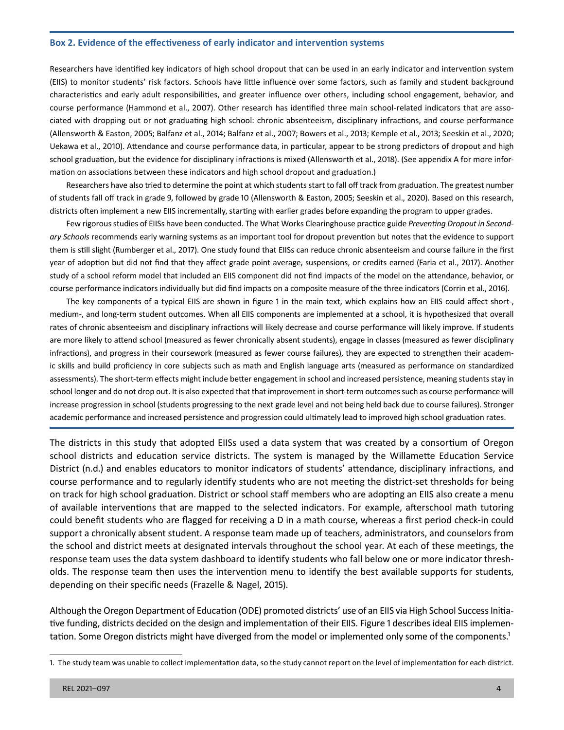#### **Box 2. Evidence of the effectiveness of early indicator and intervention systems**

Researchers have identified key indicators of high school dropout that can be used in an early indicator and intervention system (EIIS) to monitor students' risk factors. Schools have little influence over some factors, such as family and student background characteristics and early adult responsibilities, and greater influence over others, including school engagement, behavior, and course performance (Hammond et al., 2007). Other research has identified three main school-related indicators that are associated with dropping out or not graduating high school: chronic absenteeism, disciplinary infractions, and course performance (Allensworth & Easton, 2005; Balfanz et al., 2014; Balfanz et al., 2007; Bowers et al., 2013; Kemple et al., 2013; Seeskin et al., 2020; Uekawa et al., 2010). Attendance and course performance data, in particular, appear to be strong predictors of dropout and high school graduation, but the evidence for disciplinary infractions is mixed (Allensworth et al., 2018). (See appendix A for more information on associations between these indicators and high school dropout and graduation.)

 of students fall off track in grade 9, followed by grade 10 (Allensworth & Easton, 2005; Seeskin et al., 2020). Based on this research, Researchers have also tried to determine the point at which students start to fall off track from graduation. The greatest number districts often implement a new EIIS incrementally, starting with earlier grades before expanding the program to upper grades.

 Few rigorous studies of EIISs have been conducted. The What Works Clearinghouse practice guide *Preventing Dropout in Second- ary Schools* recommends early warning systems as an important tool for dropout prevention but notes that the evidence to support them is still slight (Rumberger et al., 2017). One study found that EIISs can reduce chronic absenteeism and course failure in the first year of adoption but did not find that they affect grade point average, suspensions, or credits earned (Faria et al., 2017). Another study of a school reform model that included an EIIS component did not find impacts of the model on the attendance, behavior, or course performance indicators individually but did find impacts on a composite measure of the three indicators (Corrin et al., 2016).

 The key components of a typical EIIS are shown in figure 1 in the main text, which explains how an EIIS could affect short-, are more likely to attend school (measured as fewer chronically absent students), engage in classes (measured as fewer disciplinary infractions), and progress in their coursework (measured as fewer course failures), they are expected to strengthen their academ- school longer and do not drop out. It is also expected that that improvement in short-term outcomes such as course performance will medium-, and long-term student outcomes. When all EIIS components are implemented at a school, it is hypothesized that overall rates of chronic absenteeism and disciplinary infractions will likely decrease and course performance will likely improve. If students ic skills and build proficiency in core subjects such as math and English language arts (measured as performance on standardized assessments). The short-term effects might include better engagement in school and increased persistence, meaning students stay in increase progression in school (students progressing to the next grade level and not being held back due to course failures). Stronger academic performance and increased persistence and progression could ultimately lead to improved high school graduation rates.

The districts in this study that adopted EIISs used a data system that was created by a consortium of Oregon school districts and education service districts. The system is managed by the Willamette Education Service District (n.d.) and enables educators to monitor indicators of students' attendance, disciplinary infractions, and course performance and to regularly identify students who are not meeting the district-set thresholds for being on track for high school graduation. District or school staff members who are adopting an EIIS also create a menu of available interventions that are mapped to the selected indicators. For example, afterschool math tutoring could benefit students who are flagged for receiving a D in a math course, whereas a first period check-in could support a chronically absent student. A response team made up of teachers, administrators, and counselors from the school and district meets at designated intervals throughout the school year. At each of these meetings, the response team uses the data system dashboard to identify students who fall below one or more indicator thresholds. The response team then uses the intervention menu to identify the best available supports for students, depending on their specific needs (Frazelle & Nagel, 2015).

 Although the Oregon Department of Education (ODE) promoted districts' use of an EIIS via High School Success Initia- tive funding, districts decided on the design and implementation of their EIIS. Figure 1 describes ideal EIIS implementation. Some Oregon districts might have diverged from the model or implemented only some of the components.<sup>1</sup>

<sup>1.</sup> The study team was unable to collect implementation data, so the study cannot report on the level of implementation for each district.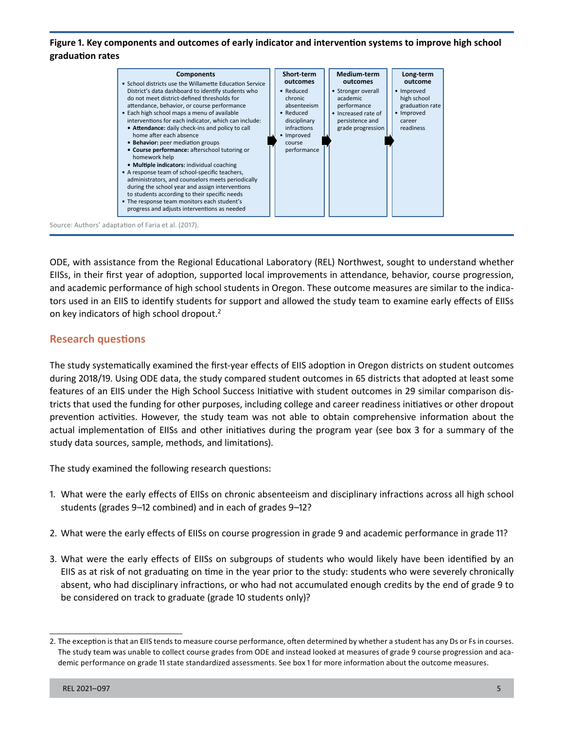#### **Figure 1. Key components and outcomes of early indicator and intervention systems to improve high school graduation rates**



ODE, with assistance from the Regional Educational Laboratory (REL) Northwest, sought to understand whether EIISs, in their first year of adoption, supported local improvements in attendance, behavior, course progression, and academic performance of high school students in Oregon. These outcome measures are similar to the indicators used in an EIIS to identify students for support and allowed the study team to examine early effects of EIISs on key indicators of high school dropout.2

## **Research questions**

The study systematically examined the first-year effects of EIIS adoption in Oregon districts on student outcomes during 2018/19. Using ODE data, the study compared student outcomes in 65 districts that adopted at least some features of an EIIS under the High School Success Initiative with student outcomes in 29 similar comparison districts that used the funding for other purposes, including college and career readiness initiatives or other dropout prevention activities. However, the study team was not able to obtain comprehensive information about the actual implementation of EIISs and other initiatives during the program year (see box 3 for a summary of the study data sources, sample, methods, and limitations).

The study examined the following research questions:

- 1. What were the early effects of EIISs on chronic absenteeism and disciplinary infractions across all high school students (grades 9–12 combined) and in each of grades 9–12?
- 2. What were the early effects of EIISs on course progression in grade 9 and academic performance in grade 11?
- 3. What were the early effects of EIISs on subgroups of students who would likely have been identified by an EIIS as at risk of not graduating on time in the year prior to the study: students who were severely chronically absent, who had disciplinary infractions, or who had not accumulated enough credits by the end of grade 9 to be considered on track to graduate (grade 10 students only)?

<sup>2.</sup> The exception is that an EIIS tends to measure course performance, often determined by whether a student has any Ds or Fs in courses. The study team was unable to collect course grades from ODE and instead looked at measures of grade 9 course progression and academic performance on grade 11 state standardized assessments. See box 1 for more information about the outcome measures.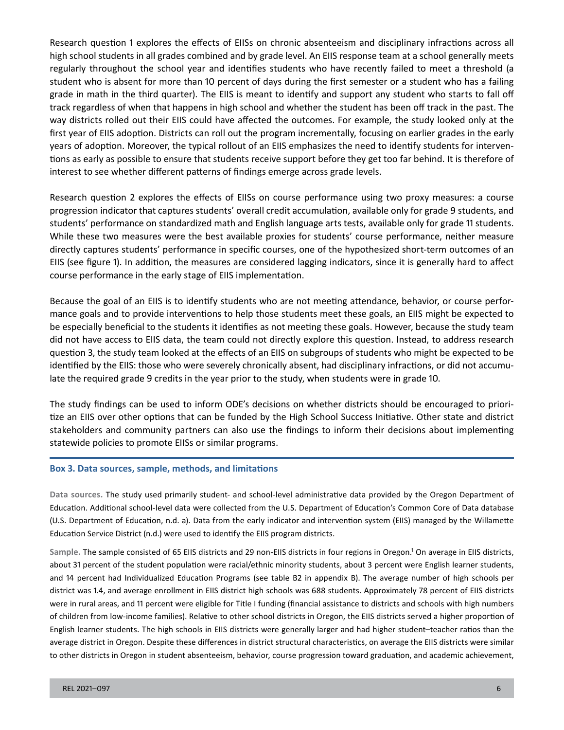Research question 1 explores the effects of EIISs on chronic absenteeism and disciplinary infractions across all high school students in all grades combined and by grade level. An EIIS response team at a school generally meets regularly throughout the school year and identifies students who have recently failed to meet a threshold (a student who is absent for more than 10 percent of days during the first semester or a student who has a failing grade in math in the third quarter). The EIIS is meant to identify and support any student who starts to fall off track regardless of when that happens in high school and whether the student has been off track in the past. The way districts rolled out their EIIS could have affected the outcomes. For example, the study looked only at the first year of EIIS adoption. Districts can roll out the program incrementally, focusing on earlier grades in the early years of adoption. Moreover, the typical rollout of an EIIS emphasizes the need to identify students for interventions as early as possible to ensure that students receive support before they get too far behind. It is therefore of interest to see whether different patterns of findings emerge across grade levels.

Research question 2 explores the effects of EIISs on course performance using two proxy measures: a course progression indicator that captures students' overall credit accumulation, available only for grade 9 students, and students' performance on standardized math and English language arts tests, available only for grade 11 students. While these two measures were the best available proxies for students' course performance, neither measure directly captures students' performance in specific courses, one of the hypothesized short-term outcomes of an EIIS (see figure 1). In addition, the measures are considered lagging indicators, since it is generally hard to affect course performance in the early stage of EIIS implementation.

Because the goal of an EIIS is to identify students who are not meeting attendance, behavior, or course performance goals and to provide interventions to help those students meet these goals, an EIIS might be expected to be especially beneficial to the students it identifies as not meeting these goals. However, because the study team did not have access to EIIS data, the team could not directly explore this question. Instead, to address research question 3, the study team looked at the effects of an EIIS on subgroups of students who might be expected to be identified by the EIIS: those who were severely chronically absent, had disciplinary infractions, or did not accumulate the required grade 9 credits in the year prior to the study, when students were in grade 10.

The study findings can be used to inform ODE's decisions on whether districts should be encouraged to prioritize an EIIS over other options that can be funded by the High School Success Initiative. Other state and district stakeholders and community partners can also use the findings to inform their decisions about implementing statewide policies to promote EIISs or similar programs.

#### **Box 3. Data sources, sample, methods, and limitations**

**Data sources.** The study used primarily student- and school-level administrative data provided by the Oregon Department of Education. Additional school-level data were collected from the U.S. Department of Education's Common Core of Data database (U.S. Department of Education, n.d. a). Data from the early indicator and intervention system (EIIS) managed by the Willamette Education Service District (n.d.) were used to identify the EIIS program districts.

Sample. The sample consisted of 65 EIIS districts and 29 non-EIIS districts in four regions in Oregon.<sup>1</sup> On average in EIIS districts, about 31 percent of the student population were racial/ethnic minority students, about 3 percent were English learner students, and 14 percent had Individualized Education Programs (see table B2 in appendix B). The average number of high schools per district was 1.4, and average enrollment in EIIS district high schools was 688 students. Approximately 78 percent of EIIS districts were in rural areas, and 11 percent were eligible for Title I funding (financial assistance to districts and schools with high numbers of children from low-income families). Relative to other school districts in Oregon, the EIIS districts served a higher proportion of English learner students. The high schools in EIIS districts were generally larger and had higher student–teacher ratios than the average district in Oregon. Despite these differences in district structural characteristics, on average the EIIS districts were similar to other districts in Oregon in student absenteeism, behavior, course progression toward graduation, and academic achievement,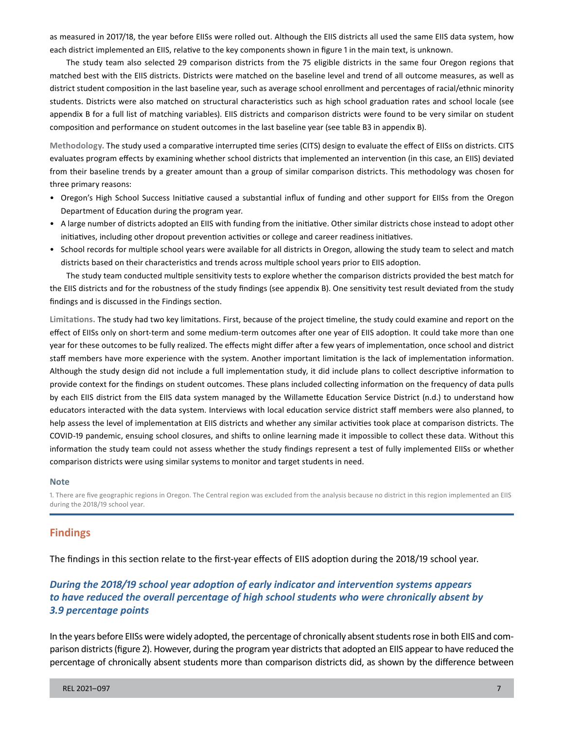as measured in 2017/18, the year before EIISs were rolled out. Although the EIIS districts all used the same EIIS data system, how each district implemented an EIIS, relative to the key components shown in figure 1 in the main text, is unknown.

The study team also selected 29 comparison districts from the 75 eligible districts in the same four Oregon regions that matched best with the EIIS districts. Districts were matched on the baseline level and trend of all outcome measures, as well as district student composition in the last baseline year, such as average school enrollment and percentages of racial/ethnic minority students. Districts were also matched on structural characteristics such as high school graduation rates and school locale (see appendix B for a full list of matching variables). EIIS districts and comparison districts were found to be very similar on student composition and performance on student outcomes in the last baseline year (see table B3 in appendix B).

**Methodology.** The study used a comparative interrupted time series (CITS) design to evaluate the effect of EIISs on districts. CITS evaluates program effects by examining whether school districts that implemented an intervention (in this case, an EIIS) deviated from their baseline trends by a greater amount than a group of similar comparison districts. This methodology was chosen for three primary reasons:

- Oregon's High School Success Initiative caused a substantial influx of funding and other support for EIISs from the Oregon Department of Education during the program year.
- A large number of districts adopted an EIIS with funding from the initiative. Other similar districts chose instead to adopt other initiatives, including other dropout prevention activities or college and career readiness initiatives.
- School records for multiple school years were available for all districts in Oregon, allowing the study team to select and match districts based on their characteristics and trends across multiple school years prior to EIIS adoption.

The study team conducted multiple sensitivity tests to explore whether the comparison districts provided the best match for the EIIS districts and for the robustness of the study findings (see appendix B). One sensitivity test result deviated from the study findings and is discussed in the Findings section.

 **Limitations.** The study had two key limitations. First, because of the project timeline, the study could examine and report on the year for these outcomes to be fully realized. The effects might differ after a few years of implementation, once school and district effect of EIISs only on short-term and some medium-term outcomes after one year of EIIS adoption. It could take more than one staff members have more experience with the system. Another important limitation is the lack of implementation information. Although the study design did not include a full implementation study, it did include plans to collect descriptive information to provide context for the findings on student outcomes. These plans included collecting information on the frequency of data pulls by each EIIS district from the EIIS data system managed by the Willamette Education Service District (n.d.) to understand how educators interacted with the data system. Interviews with local education service district staff members were also planned, to help assess the level of implementation at EIIS districts and whether any similar activities took place at comparison districts. The COVID-19 pandemic, ensuing school closures, and shifts to online learning made it impossible to collect these data. Without this information the study team could not assess whether the study findings represent a test of fully implemented EIISs or whether comparison districts were using similar systems to monitor and target students in need.

#### **Note**

1. There are five geographic regions in Oregon. The Central region was excluded from the analysis because no district in this region implemented an EIIS during the 2018/19 school year.

#### **Findings**

The findings in this section relate to the first-year effects of EIIS adoption during the 2018/19 school year.

## *During the 2018/19 school year adoption of early indicator and intervention systems appears to have reduced the overall percentage of high school students who were chronically absent by 3.9 percentage points*

 In the years before EIISs were widely adopted, the percentage of chronically absent students rose in both EIIS and com- parison districts (figure 2). However, during the program year districts that adopted an EIIS appear to have reduced the percentage of chronically absent students more than comparison districts did, as shown by the difference between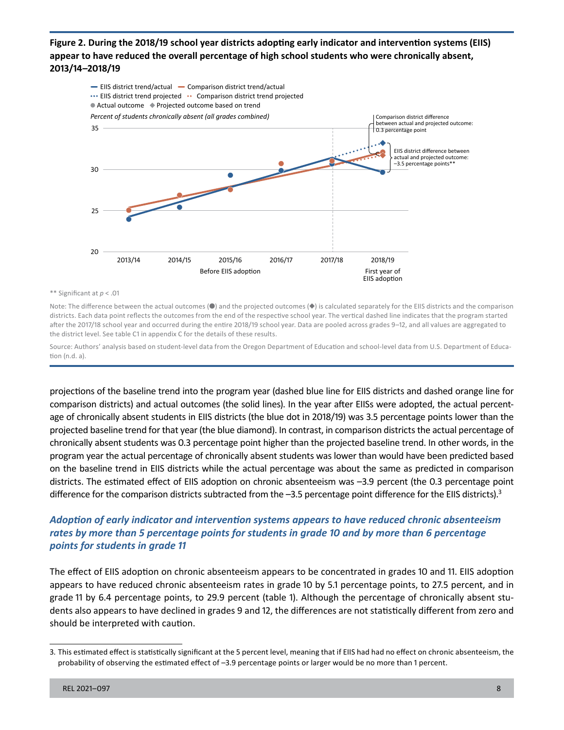**Figure 2. During the 2018/19 school year districts adopting early indicator and intervention systems (EIIS) appear to have reduced the overall percentage of high school students who were chronically absent, 2013/14–2018/19** 



#### \*\* Significant at *p* < .01

Note: The difference between the actual outcomes (●) and the projected outcomes (◆) is calculated separately for the EIIS districts and the comparison districts. Each data point reflects the outcomes from the end of the respective school year. The vertical dashed line indicates that the program started after the 2017/18 school year and occurred during the entire 2018/19 school year. Data are pooled across grades 9–12, and all values are aggregated to the district level. See table C1 in appendix C for the details of these results.

Source: Authors' analysis based on student-level data from the Oregon Department of Education and school-level data from U.S. Department of Education (n.d. a).

 projections of the baseline trend into the program year (dashed blue line for EIIS districts and dashed orange line for comparison districts) and actual outcomes (the solid lines). In the year after EIISs were adopted, the actual percent- projected baseline trend for that year (the blue diamond). In contrast, in comparison districts the actual percentage of chronically absent students was 0.3 percentage point higher than the projected baseline trend. In other words, in the on the baseline trend in EIIS districts while the actual percentage was about the same as predicted in comparison districts. The estimated effect of EIIS adoption on chronic absenteeism was –3.9 percent (the 0.3 percentage point age of chronically absent students in EIIS districts (the blue dot in 2018/19) was 3.5 percentage points lower than the program year the actual percentage of chronically absent students was lower than would have been predicted based difference for the comparison districts subtracted from the -3.5 percentage point difference for the EIIS districts).<sup>3</sup>

## *Adoption of early indicator and intervention systems appears to have reduced chronic absenteeism rates by more than 5 percentage points for students in grade 10 and by more than 6 percentage points for students in grade 11*

The effect of EIIS adoption on chronic absenteeism appears to be concentrated in grades 10 and 11. EIIS adoption appears to have reduced chronic absenteeism rates in grade 10 by 5.1 percentage points, to 27.5 percent, and in grade 11 by 6.4 percentage points, to 29.9 percent (table 1). Although the percentage of chronically absent students also appears to have declined in grades 9 and 12, the differences are not statistically different from zero and should be interpreted with caution.

<sup>3.</sup> This estimated effect is statistically significant at the 5 percent level, meaning that if EIIS had had no effect on chronic absenteeism, the probability of observing the estimated effect of –3.9 percentage points or larger would be no more than 1 percent.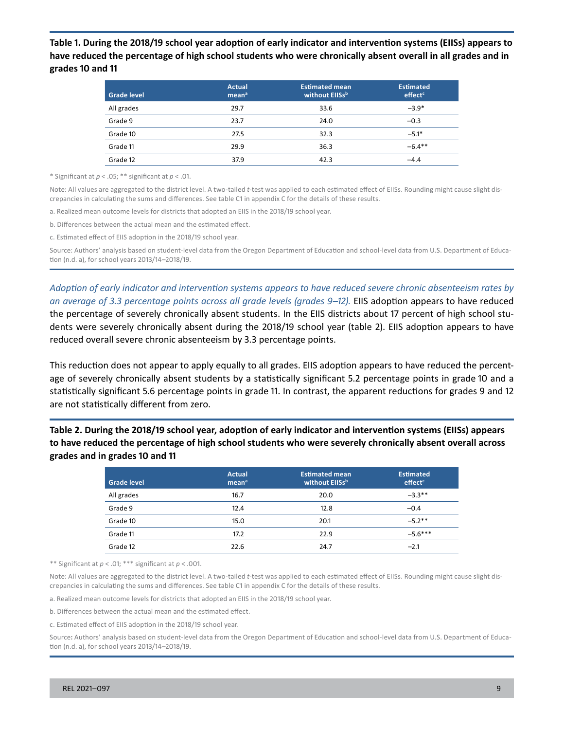**Table 1. During the 2018/19 school year adoption of early indicator and intervention systems (EIISs) appears to have reduced the percentage of high school students who were chronically absent overall in all grades and in grades 10 and 11** 

| <b>Grade level</b> | <b>Actual</b><br>mean <sup>a</sup> | <b>Estimated mean</b><br>without EllSsb | <b>Estimated</b><br>effect <sup>c</sup> |
|--------------------|------------------------------------|-----------------------------------------|-----------------------------------------|
| All grades         | 29.7                               | 33.6                                    | $-3.9*$                                 |
| Grade 9            | 23.7                               | 24.0                                    | $-0.3$                                  |
| Grade 10           | 27.5                               | 32.3                                    | $-5.1*$                                 |
| Grade 11           | 29.9                               | 36.3                                    | $-6.4**$                                |
| Grade 12           | 37.9                               | 42.3                                    | $-4.4$                                  |

\* Significant at *p* < .05; \*\* significant at *p* < .01.

Note: All values are aggregated to the district level. A two-tailed *t*-test was applied to each estimated effect of EIISs. Rounding might cause slight discrepancies in calculating the sums and differences. See table C1 in appendix C for the details of these results.

a. Realized mean outcome levels for districts that adopted an EIIS in the 2018/19 school year.

b. Differences between the actual mean and the estimated effect.

c. Estimated effect of EIIS adoption in the 2018/19 school year.

Source: Authors' analysis based on student-level data from the Oregon Department of Education and school-level data from U.S. Department of Education (n.d. a), for school years 2013/14–2018/19.

 *Adoption of early indicator and intervention systems appears to have reduced severe chronic absenteeism rates by*  an average of 3.3 percentage points across all grade levels (grades 9–12). EIIS adoption appears to have reduced the percentage of severely chronically absent students. In the EIIS districts about 17 percent of high school students were severely chronically absent during the 2018/19 school year (table 2). EIIS adoption appears to have reduced overall severe chronic absenteeism by 3.3 percentage points.

This reduction does not appear to apply equally to all grades. EIIS adoption appears to have reduced the percentage of severely chronically absent students by a statistically significant 5.2 percentage points in grade 10 and a statistically significant 5.6 percentage points in grade 11. In contrast, the apparent reductions for grades 9 and 12 are not statistically different from zero.

**Table 2. During the 2018/19 school year, adoption of early indicator and intervention systems (EIISs) appears to have reduced the percentage of high school students who were severely chronically absent overall across grades and in grades 10 and 11** 

| <b>Grade level</b> | <b>Actual</b><br>mean <sup>a</sup> | <b>Estimated mean</b><br>without EllSsb | <b>Estimated</b><br>effect <sup>c</sup> |
|--------------------|------------------------------------|-----------------------------------------|-----------------------------------------|
| All grades         | 16.7                               | 20.0                                    | $-3.3**$                                |
| Grade 9            | 12.4                               | 12.8                                    | $-0.4$                                  |
| Grade 10           | 15.0                               | 20.1                                    | $-5.2**$                                |
| Grade 11           | 17.2                               | 22.9                                    | $-5.6***$                               |
| Grade 12           | 22.6                               | 24.7                                    | $-2.1$                                  |

\*\* Significant at *p* < .01; \*\*\* significant at *p* < .001.

Note: All values are aggregated to the district level. A two-tailed *t*-test was applied to each estimated effect of EIISs. Rounding might cause slight discrepancies in calculating the sums and differences. See table C1 in appendix C for the details of these results.

a. Realized mean outcome levels for districts that adopted an EIIS in the 2018/19 school year.

b. Differences between the actual mean and the estimated effect.

c. Estimated effect of EIIS adoption in the 2018/19 school year.

Source**:** Authors' analysis based on student-level data from the Oregon Department of Education and school-level data from U.S. Department of Education (n.d. a), for school years 2013/14–2018/19.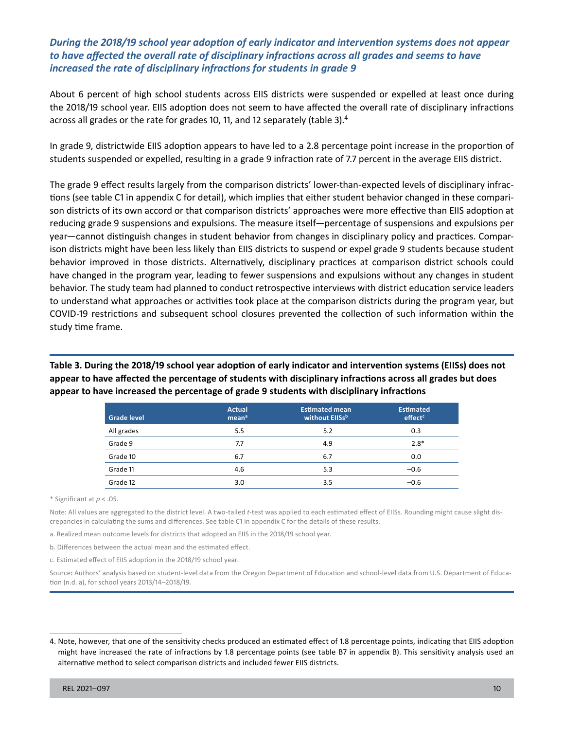### *During the 2018/19 school year adoption of early indicator and intervention systems does not appear to have affected the overall rate of disciplinary infractions across all grades and seems to have increased the rate of disciplinary infractions for students in grade 9*

About 6 percent of high school students across EIIS districts were suspended or expelled at least once during the 2018/19 school year. EIIS adoption does not seem to have affected the overall rate of disciplinary infractions across all grades or the rate for grades 10, 11, and 12 separately (table 3).4

In grade 9, districtwide EIIS adoption appears to have led to a 2.8 percentage point increase in the proportion of students suspended or expelled, resulting in a grade 9 infraction rate of 7.7 percent in the average EIIS district.

 reducing grade 9 suspensions and expulsions. The measure itself—percentage of suspensions and expulsions per year—cannot distinguish changes in student behavior from changes in disciplinary policy and practices. Compar-The grade 9 effect results largely from the comparison districts' lower-than-expected levels of disciplinary infractions (see table C1 in appendix C for detail), which implies that either student behavior changed in these comparison districts of its own accord or that comparison districts' approaches were more effective than EIIS adoption at ison districts might have been less likely than EIIS districts to suspend or expel grade 9 students because student behavior improved in those districts. Alternatively, disciplinary practices at comparison district schools could have changed in the program year, leading to fewer suspensions and expulsions without any changes in student behavior. The study team had planned to conduct retrospective interviews with district education service leaders to understand what approaches or activities took place at the comparison districts during the program year, but COVID-19 restrictions and subsequent school closures prevented the collection of such information within the study time frame.

**Table 3. During the 2018/19 school year adoption of early indicator and intervention systems (EIISs) does not appear to have affected the percentage of students with disciplinary infractions across all grades but does appear to have increased the percentage of grade 9 students with disciplinary infractions** 

| <b>Grade level</b> | <b>Actual</b><br>mean <sup>a</sup> | <b>Estimated mean</b><br>without EllSsb | <b>Estimated</b><br>effect <sup>c</sup> |
|--------------------|------------------------------------|-----------------------------------------|-----------------------------------------|
| All grades         | 5.5                                | 5.2                                     | 0.3                                     |
| Grade 9            | 7.7                                | 4.9                                     | $2.8*$                                  |
| Grade 10           | 6.7                                | 6.7                                     | 0.0                                     |
| Grade 11           | 4.6                                | 5.3                                     | $-0.6$                                  |
| Grade 12           | 3.0                                | 3.5                                     | $-0.6$                                  |

\* Significant at *p* < .05.

Note: All values are aggregated to the district level. A two-tailed *t*-test was applied to each estimated effect of EIISs. Rounding might cause slight discrepancies in calculating the sums and differences. See table C1 in appendix C for the details of these results.

a. Realized mean outcome levels for districts that adopted an EIIS in the 2018/19 school year.

b. Differences between the actual mean and the estimated effect.

c. Estimated effect of EIIS adoption in the 2018/19 school year.

Source**:** Authors' analysis based on student-level data from the Oregon Department of Education and school-level data from U.S. Department of Education (n.d. a), for school years 2013/14–2018/19.

<sup>4.</sup> Note, however, that one of the sensitivity checks produced an estimated effect of 1.8 percentage points, indicating that EIIS adoption might have increased the rate of infractions by 1.8 percentage points (see table B7 in appendix B). This sensitivity analysis used an alternative method to select comparison districts and included fewer EIIS districts.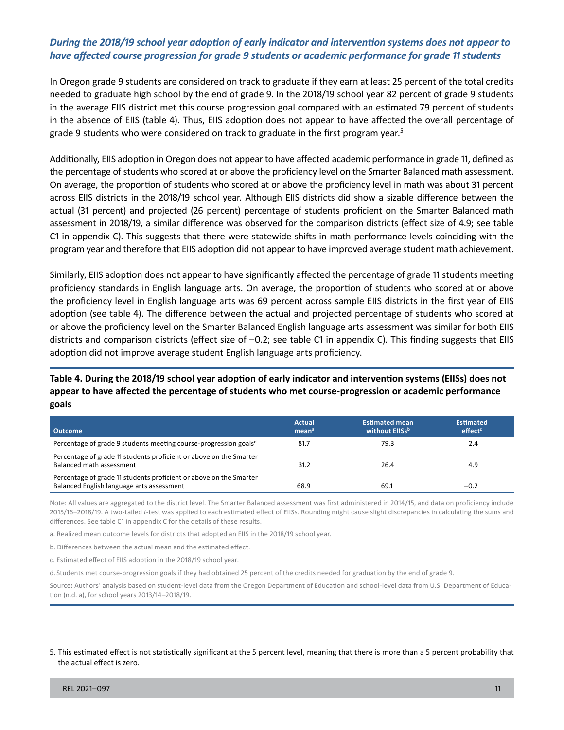#### *During the 2018/19 school year adoption of early indicator and intervention systems does not appear to have affected course progression for grade 9 students or academic performance for grade 11 students*

In Oregon grade 9 students are considered on track to graduate if they earn at least 25 percent of the total credits needed to graduate high school by the end of grade 9. In the 2018/19 school year 82 percent of grade 9 students in the average EIIS district met this course progression goal compared with an estimated 79 percent of students in the absence of EIIS (table 4). Thus, EIIS adoption does not appear to have affected the overall percentage of grade 9 students who were considered on track to graduate in the first program year.<sup>5</sup>

 Additionally, EIIS adoption in Oregon does not appear to have affected academic performance in grade 11, defined as On average, the proportion of students who scored at or above the proficiency level in math was about 31 percent across EIIS districts in the 2018/19 school year. Although EIIS districts did show a sizable difference between the assessment in 2018/19, a similar difference was observed for the comparison districts (effect size of 4.9; see table C1 in appendix C). This suggests that there were statewide shifts in math performance levels coinciding with the the percentage of students who scored at or above the proficiency level on the Smarter Balanced math assessment. actual (31 percent) and projected (26 percent) percentage of students proficient on the Smarter Balanced math program year and therefore that EIIS adoption did not appear to have improved average student math achievement.

Similarly, EIIS adoption does not appear to have significantly affected the percentage of grade 11 students meeting proficiency standards in English language arts. On average, the proportion of students who scored at or above the proficiency level in English language arts was 69 percent across sample EIIS districts in the first year of EIIS adoption (see table 4). The difference between the actual and projected percentage of students who scored at or above the proficiency level on the Smarter Balanced English language arts assessment was similar for both EIIS districts and comparison districts (effect size of -0.2; see table C1 in appendix C). This finding suggests that EIIS adoption did not improve average student English language arts proficiency.

## **Table 4. During the 2018/19 school year adoption of early indicator and intervention systems (EIISs) does not appear to have affected the percentage of students who met course-progression or academic performance goals**

| <b>Outcome</b>                                                                                                  | Actual<br>mean <sup>a</sup> | <b>Estimated mean</b><br>without EllSsb | <b>Estimated</b><br>effect <sup>c</sup> |
|-----------------------------------------------------------------------------------------------------------------|-----------------------------|-----------------------------------------|-----------------------------------------|
| Percentage of grade 9 students meeting course-progression goals <sup>d</sup>                                    | 81.7                        | 79.3                                    | 2.4                                     |
| Percentage of grade 11 students proficient or above on the Smarter<br>Balanced math assessment                  | 31.2                        | 26.4                                    | 4.9                                     |
| Percentage of grade 11 students proficient or above on the Smarter<br>Balanced English language arts assessment | 68.9                        | 69.1                                    | $-0.2$                                  |

Note: All values are aggregated to the district level. The Smarter Balanced assessment was first administered in 2014/15, and data on proficiency include 2015/16–2018/19. A two-tailed *t*-test was applied to each estimated effect of EIISs. Rounding might cause slight discrepancies in calculating the sums and differences. See table C1 in appendix C for the details of these results.

a. Realized mean outcome levels for districts that adopted an EIIS in the 2018/19 school year.

b. Differences between the actual mean and the estimated effect.

c. Estimated effect of EIIS adoption in the 2018/19 school year.

d. Students met course-progression goals if they had obtained 25 percent of the credits needed for graduation by the end of grade 9.

Source**:** Authors' analysis based on student-level data from the Oregon Department of Education and school-level data from U.S. Department of Education (n.d. a), for school years 2013/14–2018/19.

<sup>5.</sup> This estimated effect is not statistically significant at the 5 percent level, meaning that there is more than a 5 percent probability that the actual effect is zero.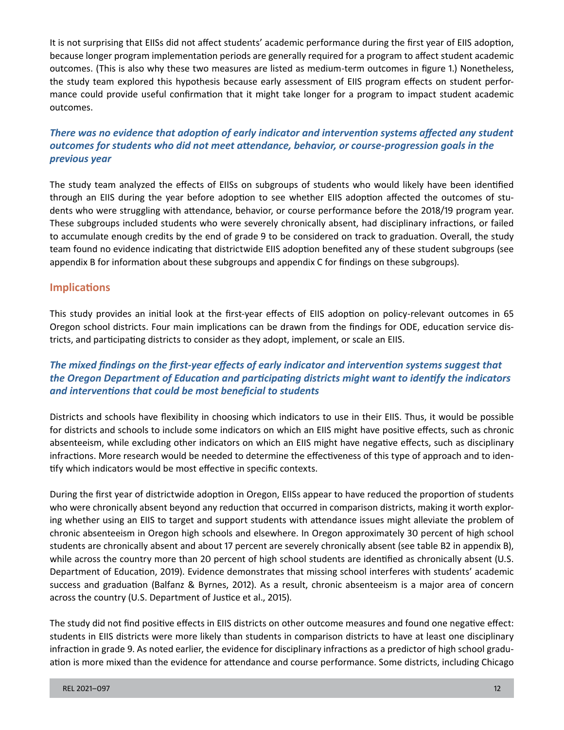It is not surprising that EIISs did not affect students' academic performance during the first year of EIIS adoption, because longer program implementation periods are generally required for a program to affect student academic outcomes. (This is also why these two measures are listed as medium-term outcomes in figure 1.) Nonetheless, the study team explored this hypothesis because early assessment of EIIS program effects on student performance could provide useful confirmation that it might take longer for a program to impact student academic outcomes.

## *There was no evidence that adoption of early indicator and intervention systems affected any student outcomes for students who did not meet attendance, behavior, or course-progression goals in the previous year*

The study team analyzed the effects of EIISs on subgroups of students who would likely have been identified through an EIIS during the year before adoption to see whether EIIS adoption affected the outcomes of students who were struggling with attendance, behavior, or course performance before the 2018/19 program year. These subgroups included students who were severely chronically absent, had disciplinary infractions, or failed to accumulate enough credits by the end of grade 9 to be considered on track to graduation. Overall, the study team found no evidence indicating that districtwide EIIS adoption benefited any of these student subgroups (see appendix B for information about these subgroups and appendix C for findings on these subgroups).

## **Implications**

This study provides an initial look at the first-year effects of EIIS adoption on policy-relevant outcomes in 65 Oregon school districts. Four main implications can be drawn from the findings for ODE, education service districts, and participating districts to consider as they adopt, implement, or scale an EIIS.

## *The mixed findings on the first-year effects of early indicator and intervention systems suggest that the Oregon Department of Education and participating districts might want to identify the indicators and interventions that could be most beneficial to students*

Districts and schools have flexibility in choosing which indicators to use in their EIIS. Thus, it would be possible for districts and schools to include some indicators on which an EIIS might have positive effects, such as chronic absenteeism, while excluding other indicators on which an EIIS might have negative effects, such as disciplinary infractions. More research would be needed to determine the effectiveness of this type of approach and to identify which indicators would be most effective in specific contexts.

During the first year of districtwide adoption in Oregon, EIISs appear to have reduced the proportion of students who were chronically absent beyond any reduction that occurred in comparison districts, making it worth exploring whether using an EIIS to target and support students with attendance issues might alleviate the problem of chronic absenteeism in Oregon high schools and elsewhere. In Oregon approximately 30 percent of high school students are chronically absent and about 17 percent are severely chronically absent (see table B2 in appendix B), while across the country more than 20 percent of high school students are identified as chronically absent (U.S. Department of Education, 2019). Evidence demonstrates that missing school interferes with students' academic success and graduation (Balfanz & Byrnes, 2012). As a result, chronic absenteeism is a major area of concern across the country (U.S. Department of Justice et al., 2015).

The study did not find positive effects in EIIS districts on other outcome measures and found one negative effect: students in EIIS districts were more likely than students in comparison districts to have at least one disciplinary infraction in grade 9. As noted earlier, the evidence for disciplinary infractions as a predictor of high school graduation is more mixed than the evidence for attendance and course performance. Some districts, including Chicago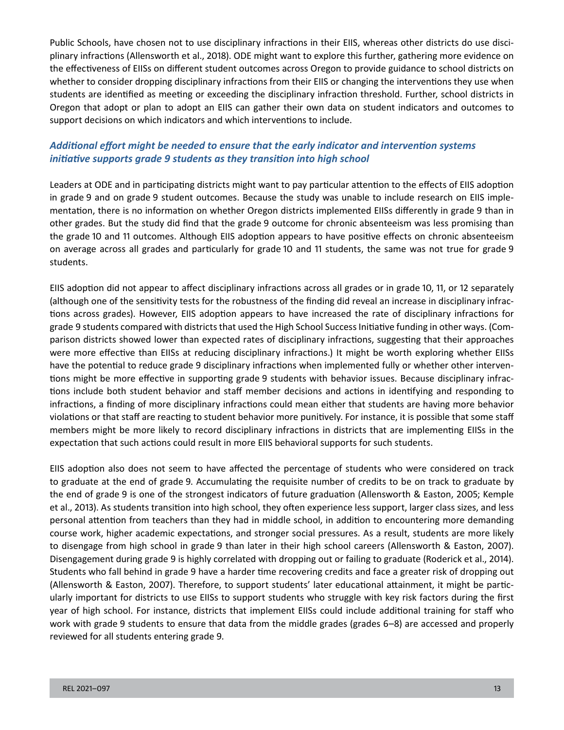Public Schools, have chosen not to use disciplinary infractions in their EIIS, whereas other districts do use disciplinary infractions (Allensworth et al., 2018). ODE might want to explore this further, gathering more evidence on the effectiveness of EIISs on different student outcomes across Oregon to provide guidance to school districts on whether to consider dropping disciplinary infractions from their EIIS or changing the interventions they use when students are identified as meeting or exceeding the disciplinary infraction threshold. Further, school districts in Oregon that adopt or plan to adopt an EIIS can gather their own data on student indicators and outcomes to support decisions on which indicators and which interventions to include.

## *Additional effort might be needed to ensure that the early indicator and intervention systems initiative supports grade 9 students as they transition into high school*

Leaders at ODE and in participating districts might want to pay particular attention to the effects of EIIS adoption in grade 9 and on grade 9 student outcomes. Because the study was unable to include research on EIIS implementation, there is no information on whether Oregon districts implemented EIISs differently in grade 9 than in other grades. But the study did find that the grade 9 outcome for chronic absenteeism was less promising than the grade 10 and 11 outcomes. Although EIIS adoption appears to have positive effects on chronic absenteeism on average across all grades and particularly for grade 10 and 11 students, the same was not true for grade 9 students.

EIIS adoption did not appear to affect disciplinary infractions across all grades or in grade 10, 11, or 12 separately (although one of the sensitivity tests for the robustness of the finding did reveal an increase in disciplinary infractions across grades). However, EIIS adoption appears to have increased the rate of disciplinary infractions for grade 9 students compared with districts that used the High School Success Initiative funding in other ways. (Comparison districts showed lower than expected rates of disciplinary infractions, suggesting that their approaches were more effective than EIISs at reducing disciplinary infractions.) It might be worth exploring whether EIISs have the potential to reduce grade 9 disciplinary infractions when implemented fully or whether other interventions might be more effective in supporting grade 9 students with behavior issues. Because disciplinary infractions include both student behavior and staff member decisions and actions in identifying and responding to infractions, a finding of more disciplinary infractions could mean either that students are having more behavior violations or that staff are reacting to student behavior more punitively. For instance, it is possible that some staff members might be more likely to record disciplinary infractions in districts that are implementing EIISs in the expectation that such actions could result in more EIIS behavioral supports for such students.

EIIS adoption also does not seem to have affected the percentage of students who were considered on track to graduate at the end of grade 9. Accumulating the requisite number of credits to be on track to graduate by the end of grade 9 is one of the strongest indicators of future graduation (Allensworth & Easton, 2005; Kemple et al., 2013). As students transition into high school, they often experience less support, larger class sizes, and less personal attention from teachers than they had in middle school, in addition to encountering more demanding course work, higher academic expectations, and stronger social pressures. As a result, students are more likely to disengage from high school in grade 9 than later in their high school careers (Allensworth & Easton, 2007). Disengagement during grade 9 is highly correlated with dropping out or failing to graduate (Roderick et al., 2014). Students who fall behind in grade 9 have a harder time recovering credits and face a greater risk of dropping out (Allensworth & Easton, 2007). Therefore, to support students' later educational attainment, it might be particularly important for districts to use EIISs to support students who struggle with key risk factors during the first year of high school. For instance, districts that implement EIISs could include additional training for staff who work with grade 9 students to ensure that data from the middle grades (grades 6–8) are accessed and properly reviewed for all students entering grade 9.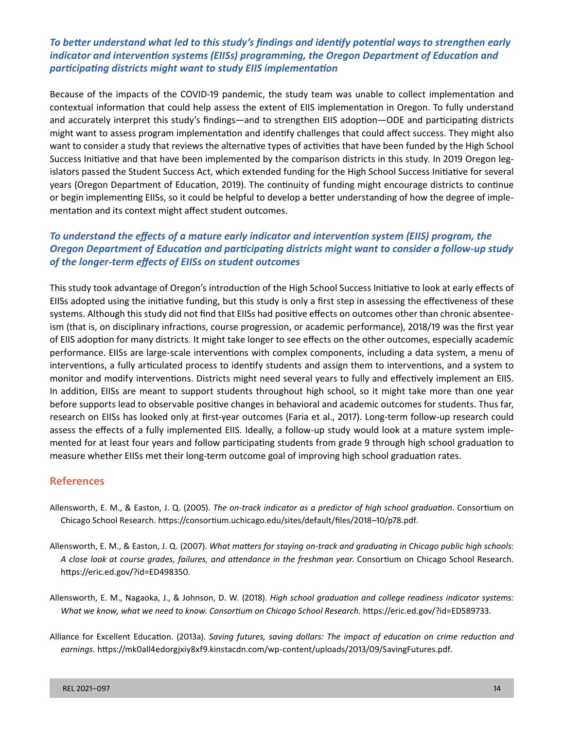## *To better understand what led to this study's findings and identify potential ways to strengthen early indicator and intervention systems (EIISs) programming, the Oregon Department of Education and participating districts might want to study EIIS implementation*

 and accurately interpret this study's findings—and to strengthen EIIS adoption—ODE and participating districts Because of the impacts of the COVID-19 pandemic, the study team was unable to collect implementation and contextual information that could help assess the extent of EIIS implementation in Oregon. To fully understand might want to assess program implementation and identify challenges that could affect success. They might also want to consider a study that reviews the alternative types of activities that have been funded by the High School Success Initiative and that have been implemented by the comparison districts in this study. In 2019 Oregon legislators passed the Student Success Act, which extended funding for the High School Success Initiative for several years (Oregon Department of Education, 2019). The continuity of funding might encourage districts to continue or begin implementing EIISs, so it could be helpful to develop a better understanding of how the degree of implementation and its context might affect student outcomes.

## *To understand the effects of a mature early indicator and intervention system (EIIS) program, the Oregon Department of Education and participating districts might want to consider a follow-up study of the longer-term effects of EIISs on student outcomes*

This study took advantage of Oregon's introduction of the High School Success Initiative to look at early effects of EIISs adopted using the initiative funding, but this study is only a first step in assessing the effectiveness of these systems. Although this study did not find that EIISs had positive effects on outcomes other than chronic absenteeism (that is, on disciplinary infractions, course progression, or academic performance), 2018/19 was the first year of EIIS adoption for many districts. It might take longer to see effects on the other outcomes, especially academic performance. EIISs are large-scale interventions with complex components, including a data system, a menu of interventions, a fully articulated process to identify students and assign them to interventions, and a system to monitor and modify interventions. Districts might need several years to fully and effectively implement an EIIS. In addition, EIISs are meant to support students throughout high school, so it might take more than one year before supports lead to observable positive changes in behavioral and academic outcomes for students. Thus far, research on EIISs has looked only at first-year outcomes (Faria et al., 2017). Long-term follow-up research could assess the effects of a fully implemented EIIS. Ideally, a follow-up study would look at a mature system implemented for at least four years and follow participating students from grade 9 through high school graduation to measure whether EIISs met their long-term outcome goal of improving high school graduation rates.

#### **References**

- Allensworth, E. M., & Easton, J. Q. (2005). *The on-track indicator as a predictor of high school graduation*. Consortium on Chicago School Research. [https://consortium.uchicago.edu/sites/default/files/2018–10/p78.pdf.](https://consortium.uchicago.edu/sites/default/files/2018-10/p78.pdf)
- Allensworth, E. M., & Easton, J. Q. (2007). *What matters for staying on-track and graduating in Chicago public high schools: A close look at course grades, failures, and attendance in the freshman year*. Consortium on Chicago School Research. <https://eric.ed.gov/?id=ED498350>.
- Allensworth, E. M., Nagaoka, J., & Johnson, D. W. (2018). *High school graduation and college readiness indicator systems:*  What we know, what we need to know. Consortium on Chicago School Research. [https://eric.ed.gov/?id=ED589733.](https://eric.ed.gov/?id=ED589733)
- Alliance for Excellent Education. (2013a). *Saving futures, saving dollars: The impact of education on crime reduction and earnings.* [https://mk0all4edorgjxiy8xf9.kinstacdn.com/wp-content/uploads/2013/09/SavingFutures.pdf.](https://mk0all4edorgjxiy8xf9.kinstacdn.com/wp-content/uploads/2013/09/SavingFutures.pdf)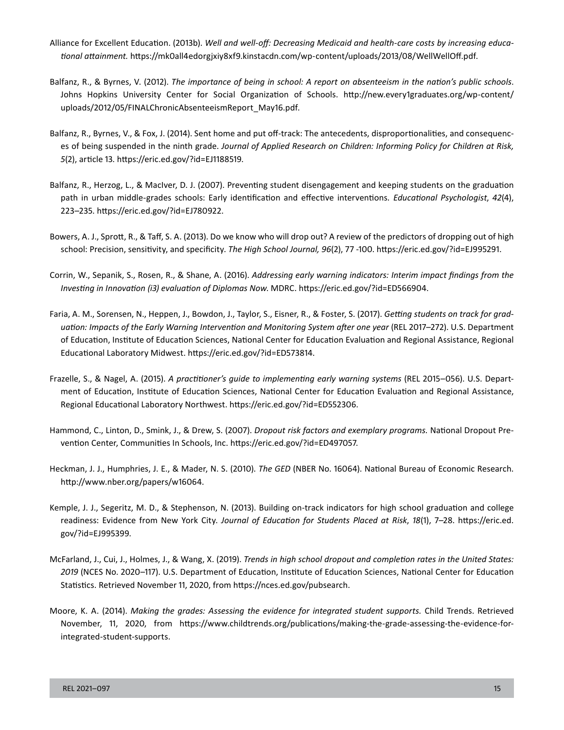- *tional attainment.* [https://mk0all4edorgjxiy8xf9.kinstacdn.com/wp-content/uploads/2013/08/WellWellOff.pdf.](https://mk0all4edorgjxiy8xf9.kinstacdn.com/wp-content/uploads/2013/08/WellWellOff.pdf) Alliance for Excellent Education. (2013b). *Well and well-off: Decreasing Medicaid and health-care costs by increasing educa-*
- Balfanz, R., & Byrnes, V. (2012). *The importance of being in school: A report on absenteeism in the nation's public schools*. Johns Hopkins University Center for Social Organization of Schools. [http://new.every1graduates.org/wp-content/](http://new.every1graduates.org/wp-content/uploads/2012/05/FINALChronicAbsenteeismReport_May16.pdf)  [uploads/2012/05/FINALChronicAbsenteeismReport\\_May16.pdf](http://new.every1graduates.org/wp-content/uploads/2012/05/FINALChronicAbsenteeismReport_May16.pdf).
- Balfanz, R., Byrnes, V., & Fox, J. (2014). Sent home and put off-track: The antecedents, disproportionalities, and consequences of being suspended in the ninth grade. *Journal of Applied Research on Children: Informing Policy for Children at Risk, 5*(2), article 13.<https://eric.ed.gov/?id=EJ1188519>.
- Balfanz, R., Herzog, L., & MacIver, D. J. (2007). Preventing student disengagement and keeping students on the graduation path in urban middle-grades schools: Early identification and effective interventions*. Educational Psychologist*, *42*(4), 223–235.<https://eric.ed.gov/?id=EJ780922>.
- Bowers, A. J., Sprott, R., & Taff, S. A. (2013). Do we know who will drop out? A review of the predictors of dropping out of high school: Precision, sensitivity, and specificity. *The High School Journal, 96*(2), 77 -100.<https://eric.ed.gov/?id=EJ995291>.
- Corrin, W., Sepanik, S., Rosen, R., & Shane, A. (2016). *Addressing early warning indicators: Interim impact findings from the Investing in Innovation (i3) evaluation of Diplomas Now*. MDRC. <https://eric.ed.gov/?id=ED566904>.
- Faria, A. M., Sorensen, N., Heppen, J., Bowdon, J., Taylor, S., Eisner, R., & Foster, S. (2017). *Getting students on track for graduation: Impacts of the Early Warning Intervention and Monitoring System after one year* (REL 2017–272). U.S. Department of Education, Institute of Education Sciences, National Center for Education Evaluation and Regional Assistance, Regional Educational Laboratory Midwest. [https://eric.ed.gov/?id=ED573814.](https://eric.ed.gov/?id=ED573814)
- Frazelle, S., & Nagel, A. (2015). *A practitioner's guide to implementing early warning systems* (REL 2015–056). U.S. Department of Education, Institute of Education Sciences, National Center for Education Evaluation and Regional Assistance, Regional Educational Laboratory Northwest. [https://eric.ed.gov/?id=ED552306.](https://eric.ed.gov/?id=ED552306)
- Hammond, C., Linton, D., Smink, J., & Drew, S. (2007). *Dropout risk factors and exemplary programs.* National Dropout Prevention Center, Communities In Schools, Inc.<https://eric.ed.gov/?id=ED497057>.
- Heckman, J. J., Humphries, J. E., & Mader, N. S. (2010). *The GED* (NBER No. 16064). National Bureau of Economic Research. <http://www.nber.org/papers/w16064>.
- Kemple, J. J., Segeritz, M. D., & Stephenson, N. (2013). Building on-track indicators for high school graduation and college readiness: Evidence from New York City. *Journal of Education for Students Placed at Risk*, *18*(1), 7–28. [https://eric.ed.](https://eric.ed.gov/?id=EJ995399)  [gov/?id=EJ995399](https://eric.ed.gov/?id=EJ995399).
- McFarland, J., Cui, J., Holmes, J., & Wang, X. (2019). *Trends in high school dropout and completion rates in the United States: 2019* (NCES No. 2020–117). U.S. Department of Education, Institute of Education Sciences, National Center for Education Statistics. Retrieved November 11, 2020, from [https://nces.ed.gov/pubsearch.](https://nces.ed.gov/pubsearch)
- Moore, K. A. (2014). *Making the grades: Assessing the evidence for integrated student supports.* Child Trends. Retrieved November, 11, 2020, from [https://www.childtrends.org/publications/making-the-grade-assessing-the-evidence-for](https://www.childtrends.org/publications/making-the-grade-assessing-the-evidence-for-integrated-student-supports)[integrated-student-supports.](https://www.childtrends.org/publications/making-the-grade-assessing-the-evidence-for-integrated-student-supports)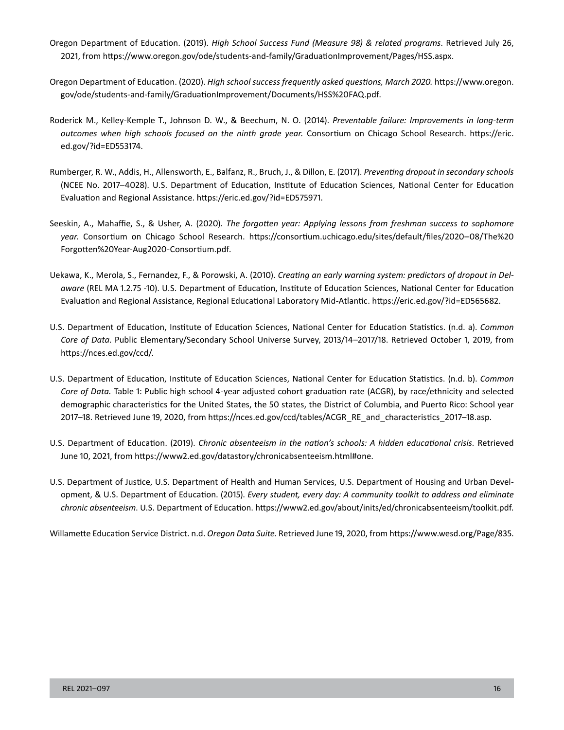- Oregon Department of Education. (2019). *High School Success Fund (Measure 98) & related programs*. Retrieved July 26, 2021, from <https://www.oregon.gov/ode/students-and-family/GraduationImprovement/Pages/HSS.aspx>.
- Oregon Department of Education. (2020). *High school success frequently asked questions, March 2020.* [https://www.oregon.](https://www.oregon.gov/ode/students-and-family/GraduationImprovement/Documents/HSS%20FAQ.pdf) [gov/ode/students-and-family/GraduationImprovement/Documents/HSS%20FAQ.pdf.](https://www.oregon.gov/ode/students-and-family/GraduationImprovement/Documents/HSS%20FAQ.pdf)
- Roderick M., Kelley-Kemple T., Johnson D. W., & Beechum, N. O. (2014). *Preventable failure: Improvements in long-term outcomes when high schools focused on the ninth grade year.* Consortium on Chicago School Research. [https://eric.](https://eric.ed.gov/?id=ED553174)  [ed.gov/?id=ED553174.](https://eric.ed.gov/?id=ED553174)
- Rumberger, R. W., Addis, H., Allensworth, E., Balfanz, R., Bruch, J., & Dillon, E. (2017). *Preventing dropout in secondary schools*  (NCEE No. 2017–4028). U.S. Department of Education, Institute of Education Sciences, National Center for Education Evaluation and Regional Assistance. <https://eric.ed.gov/?id=ED575971>.
- Seeskin, A., Mahaffie, S., & Usher, A. (2020). *The forgotten year: Applying lessons from freshman success to sophomore year.* Consortium on Chicago School Research. [https://consortium.uchicago.edu/sites/default/files/2020–08/The%20](https://consortium.uchicago.edu/sites/default/files/2020-08/The%20Forgotten%20Year-Aug2020-Consortium.pdf)  [Forgotten%20Year-Aug2020-Consortium.pdf.](https://consortium.uchicago.edu/sites/default/files/2020-08/The%20Forgotten%20Year-Aug2020-Consortium.pdf)
- Uekawa, K., Merola, S., Fernandez, F., & Porowski, A. (2010). *Creating an early warning system: predictors of dropout in Delaware* (REL MA 1.2.75 -10). U.S. Department of Education, Institute of Education Sciences, National Center for Education Evaluation and Regional Assistance, Regional Educational Laboratory Mid-Atlantic.<https://eric.ed.gov/?id=ED565682>.
- U.S. Department of Education, Institute of Education Sciences, National Center for Education Statistics. (n.d. a). *Common Core of Data*. Public Elementary/Secondary School Universe Survey, 2013/14–2017/18. Retrieved October 1, 2019, from <https://nces.ed.gov/ccd/>.
- U.S. Department of Education, Institute of Education Sciences, National Center for Education Statistics. (n.d. b). *Common Core of Data.* Table 1: Public high school 4-year adjusted cohort graduation rate (ACGR), by race/ethnicity and selected demographic characteristics for the United States, the 50 states, the District of Columbia, and Puerto Rico: School year 2017–18. Retrieved June 19, 2020, from [https://nces.ed.gov/ccd/tables/ACGR\\_RE\\_and\\_characteristics\\_2017–18.asp.](https://nces.ed.gov/ccd/tables/ACGR_RE_and_characteristics_2017-18.asp)
- U.S. Department of Education. (2019). *Chronic absenteeism in the nation's schools: A hidden educational crisis.* Retrieved June 10, 2021, from<https://www2.ed.gov/datastory/chronicabsenteeism.html#one>.
- U.S. Department of Justice, U.S. Department of Health and Human Services, U.S. Department of Housing and Urban Development, & U.S. Department of Education. (2015). *Every student, every day: A community toolkit to address and eliminate chronic absenteeism*. U.S. Department of Education.<https://www2.ed.gov/about/inits/ed/chronicabsenteeism/toolkit.pdf>.

 Willamette Education Service District. n.d. *Oregon Data Suite.* Retrieved June 19, 2020, from<https://www.wesd.org/Page/835>.